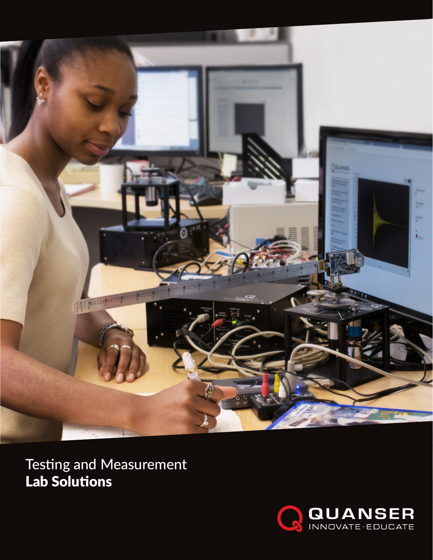

Testing and Measurement Lab Solutions

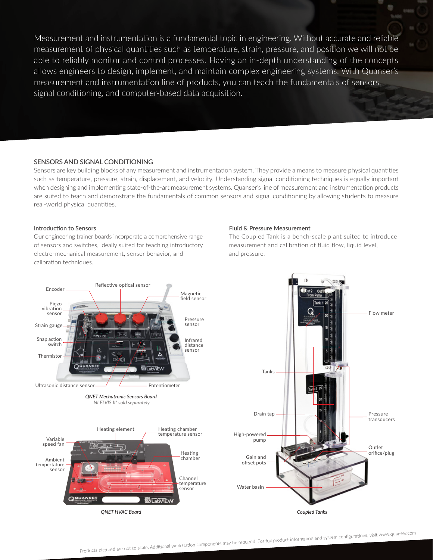Measurement and instrumentation is a fundamental topic in engineering. Without accurate and reliable measurement of physical quantities such as temperature, strain, pressure, and position we will not be able to reliably monitor and control processes. Having an in-depth understanding of the concepts allows engineers to design, implement, and maintain complex engineering systems. With Quanser's measurement and instrumentation line of products, you can teach the fundamentals of sensors, signal conditioning, and computer-based data acquisition.

# **SENSORS AND SIGNAL CONDITIONING**

Sensors are key building blocks of any measurement and instrumentation system. They provide a means to measure physical quantities such as temperature, pressure, strain, displacement, and velocity. Understanding signal conditioning techniques is equally important when designing and implementing state-of-the-art measurement systems. Quanser's line of measurement and instrumentation products are suited to teach and demonstrate the fundamentals of common sensors and signal conditioning by allowing students to measure real-world physical quantities.

### **Introduction to Sensors**

Our engineering trainer boards incorporate a comprehensive range of sensors and switches, ideally suited for teaching introductory electro-mechanical measurement, sensor behavior, and calibration techniques.

#### **Fluid & Pressure Measurement**

The Coupled Tank is a bench-scale plant suited to introduce measurement and calibration of fluid flow, liquid level, and pressure.

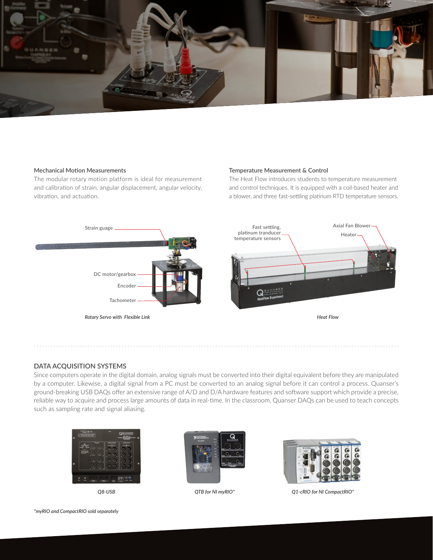

# **Mechanical Motion Measurements**

The modular rotary motion platform is ideal for measurement and calibration of strain, angular displacement, angular velocity, vibration, and actuation.

# **Temperature Measurement & Control**

The Heat Flow introduces students to temperature measurement and control techniques. It is equipped with a coil-based heater and a blower, and three fast-settling platinum RTD temperature sensors.



# **DATA ACQUISITION SYSTEMS**

Since computers operate in the digital domain, analog signals must be converted into their digital equivalent before they are manipulated by a computer. Likewise, a digital signal from a PC must be converted to an analog signal before it can control a process. Quanser's ground-breaking USB DAQs offer an extensive range of A/D and D/A hardware features and software support which provide a precise, reliable way to acquire and process large amounts of data in real-time. In the classroom, Quanser DAQs can be used to teach concepts such as sampling rate and signal aliasing.



*Q8-USB*





*QTB for NI myRIO\* Q1-cRIO for NI CompactRIO\**